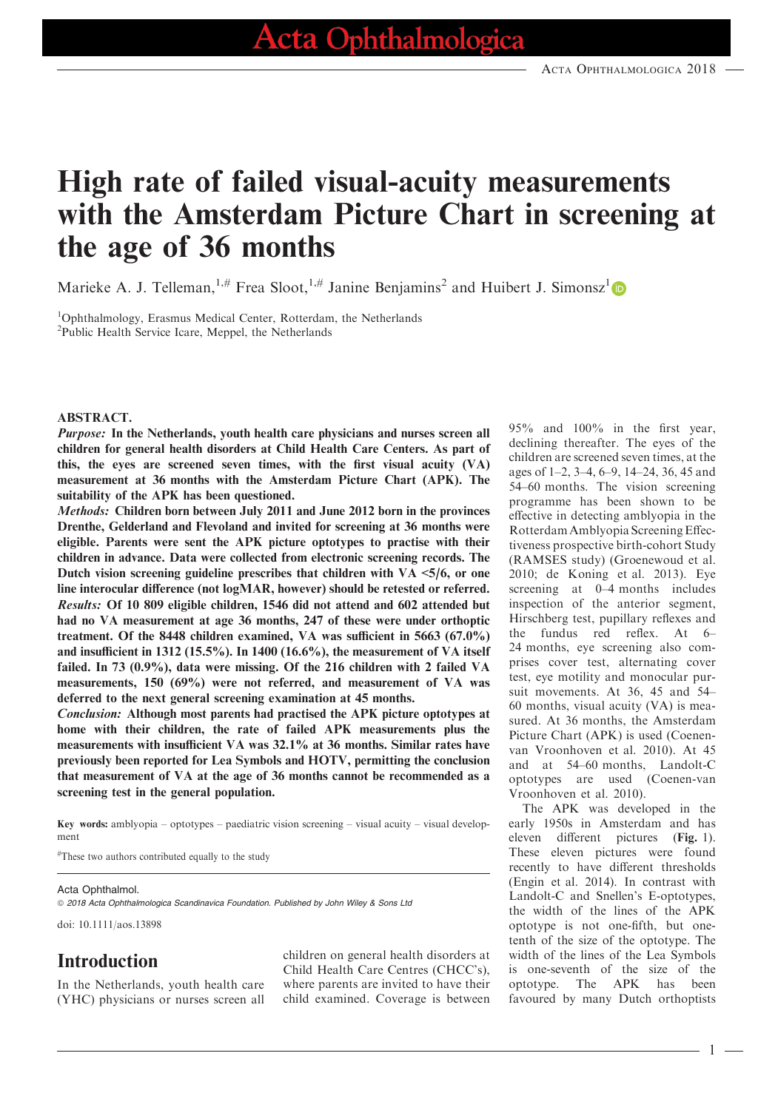# High rate of failed visual-acuity measurements with the Amsterdam Picture Chart in screening at the age of 36 months

Marieke A. J. Telleman,<sup>1,#</sup> Frea Sloot,<sup>1,#</sup> Janine Benjamins<sup>2</sup> and Huibert J. Simonsz<sup>1</sup>

1 Ophthalmology, Erasmus Medical Center, Rotterdam, the Netherlands <sup>2</sup>Public Health Service Icare, Meppel, the Netherlands

#### ABSTRACT.

Purpose: In the Netherlands, youth health care physicians and nurses screen all children for general health disorders at Child Health Care Centers. As part of this, the eyes are screened seven times, with the first visual acuity (VA) measurement at 36 months with the Amsterdam Picture Chart (APK). The suitability of the APK has been questioned.

Methods: Children born between July 2011 and June 2012 born in the provinces Drenthe, Gelderland and Flevoland and invited for screening at 36 months were eligible. Parents were sent the APK picture optotypes to practise with their children in advance. Data were collected from electronic screening records. The Dutch vision screening guideline prescribes that children with  $VA \leq 5/6$ , or one line interocular difference (not logMAR, however) should be retested or referred. Results: Of 10 809 eligible children, 1546 did not attend and 602 attended but had no VA measurement at age 36 months, 247 of these were under orthoptic treatment. Of the 8448 children examined, VA was sufficient in 5663 (67.0%) and insufficient in 1312 (15.5%). In 1400 (16.6%), the measurement of VA itself failed. In 73 (0.9%), data were missing. Of the 216 children with 2 failed VA measurements, 150 (69%) were not referred, and measurement of VA was deferred to the next general screening examination at 45 months.

Conclusion: Although most parents had practised the APK picture optotypes at home with their children, the rate of failed APK measurements plus the measurements with insufficient VA was 32.1% at 36 months. Similar rates have previously been reported for Lea Symbols and HOTV, permitting the conclusion that measurement of VA at the age of 36 months cannot be recommended as a screening test in the general population.

Key words: amblyopia – optotypes – paediatric vision screening – visual acuity – visual development

# These two authors contributed equally to the study

#### Acta Ophthalmol.

© 2018 Acta Ophthalmologica Scandinavica Foundation. Published by John Wiley & Sons Ltd

doi: 10.1111/aos.13898

## Introduction

In the Netherlands, youth health care (YHC) physicians or nurses screen all

children on general health disorders at Child Health Care Centres (CHCC's), where parents are invited to have their child examined. Coverage is between 95% and 100% in the first year, declining thereafter. The eyes of the children are screened seven times, at the ages of 1–2, 3–4, 6–9, 14–24, 36, 45 and 54–60 months. The vision screening programme has been shown to be effective in detecting amblyopia in the Rotterdam Amblyopia Screening Effectiveness prospective birth-cohort Study (RAMSES study) (Groenewoud et al. 2010; de Koning et al. 2013). Eye screening at 0–4 months includes inspection of the anterior segment, Hirschberg test, pupillary reflexes and the fundus red reflex. At 6– 24 months, eye screening also comprises cover test, alternating cover test, eye motility and monocular pursuit movements. At 36, 45 and 54– 60 months, visual acuity (VA) is measured. At 36 months, the Amsterdam Picture Chart (APK) is used (Coenenvan Vroonhoven et al. 2010). At 45 and at 54–60 months, Landolt-C optotypes are used (Coenen-van Vroonhoven et al. 2010).

The APK was developed in the early 1950s in Amsterdam and has eleven different pictures (Fig. 1). These eleven pictures were found recently to have different thresholds (Engin et al. 2014). In contrast with Landolt-C and Snellen's E-optotypes, the width of the lines of the APK optotype is not one-fifth, but onetenth of the size of the optotype. The width of the lines of the Lea Symbols is one-seventh of the size of the optotype. The APK has been favoured by many Dutch orthoptists

1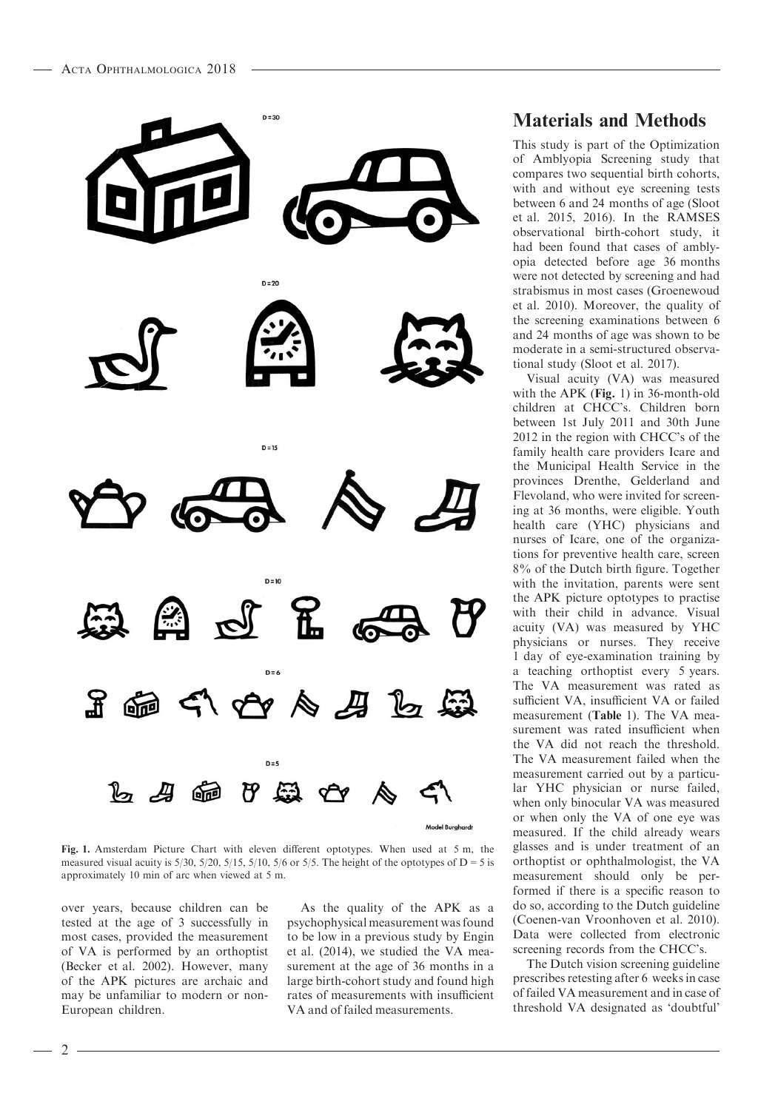

Fig. 1. Amsterdam Picture Chart with eleven different optotypes. When used at 5 m, the measured visual acuity is  $5/30$ ,  $5/20$ ,  $5/15$ ,  $5/10$ ,  $5/6$  or  $5/5$ . The height of the optotypes of D = 5 is approximately 10 min of arc when viewed at 5 m.

over years, because children can be tested at the age of 3 successfully in most cases, provided the measurement of VA is performed by an orthoptist (Becker et al. 2002). However, many of the APK pictures are archaic and may be unfamiliar to modern or non-European children.

As the quality of the APK as a psychophysical measurement was found to be low in a previous study by Engin et al. (2014), we studied the VA measurement at the age of 36 months in a large birth-cohort study and found high rates of measurements with insufficient VA and of failed measurements.

## Materials and Methods

This study is part of the Optimization of Amblyopia Screening study that compares two sequential birth cohorts, with and without eye screening tests between 6 and 24 months of age (Sloot et al. 2015, 2016). In the RAMSES observational birth-cohort study, it had been found that cases of amblyopia detected before age 36 months were not detected by screening and had strabismus in most cases (Groenewoud et al. 2010). Moreover, the quality of the screening examinations between 6 and 24 months of age was shown to be moderate in a semi-structured observational study (Sloot et al. 2017).

Visual acuity (VA) was measured with the APK (Fig. 1) in 36-month-old children at CHCC's. Children born between 1st July 2011 and 30th June 2012 in the region with CHCC's of the family health care providers Icare and the Municipal Health Service in the provinces Drenthe, Gelderland and Flevoland, who were invited for screening at 36 months, were eligible. Youth health care (YHC) physicians and nurses of Icare, one of the organizations for preventive health care, screen 8% of the Dutch birth figure. Together with the invitation, parents were sent the APK picture optotypes to practise with their child in advance. Visual acuity (VA) was measured by YHC physicians or nurses. They receive 1 day of eye-examination training by a teaching orthoptist every 5 years. The VA measurement was rated as sufficient VA, insufficient VA or failed measurement (Table 1). The VA measurement was rated insufficient when the VA did not reach the threshold. The VA measurement failed when the measurement carried out by a particular YHC physician or nurse failed, when only binocular VA was measured or when only the VA of one eye was measured. If the child already wears glasses and is under treatment of an orthoptist or ophthalmologist, the VA measurement should only be performed if there is a specific reason to do so, according to the Dutch guideline (Coenen-van Vroonhoven et al. 2010). Data were collected from electronic screening records from the CHCC's.

The Dutch vision screening guideline prescribes retesting after 6 weeks in case of failed VA measurement and in case of threshold VA designated as 'doubtful'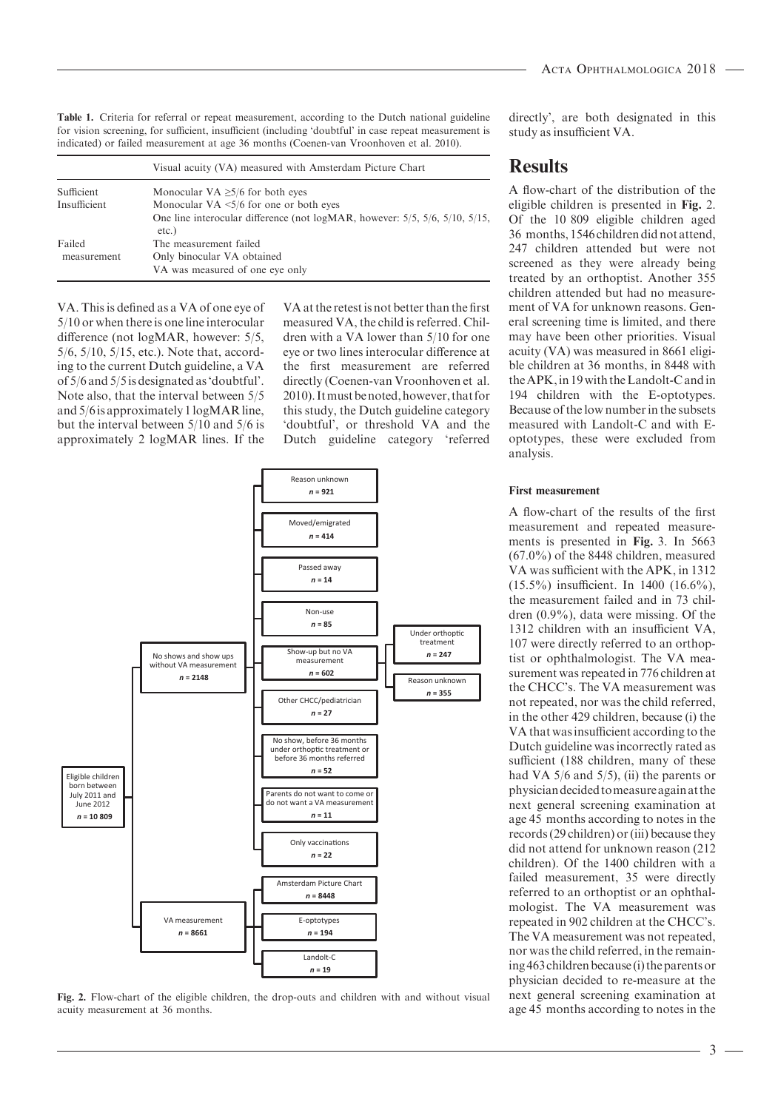Table 1. Criteria for referral or repeat measurement, according to the Dutch national guideline for vision screening, for sufficient, insufficient (including 'doubtful' in case repeat measurement is indicated) or failed measurement at age 36 months (Coenen-van Vroonhoven et al. 2010).

|              | Visual acuity (VA) measured with Amsterdam Picture Chart                                         |
|--------------|--------------------------------------------------------------------------------------------------|
| Sufficient   | Monocular VA $\geq$ 5/6 for both eyes                                                            |
| Insufficient | Monocular VA $\leq$ 5/6 for one or both eyes                                                     |
|              | One line interocular difference (not logMAR, however: $5/5$ , $5/6$ , $5/10$ , $5/15$ ,<br>etc.) |
| Failed       | The measurement failed                                                                           |
| measurement  | Only binocular VA obtained                                                                       |
|              | VA was measured of one eye only                                                                  |

VA. This is defined as a VA of one eye of 5/10 or when there is one line interocular difference (not logMAR, however: 5/5, 5/6, 5/10, 5/15, etc.). Note that, according to the current Dutch guideline, a VA of 5/6 and 5/5 is designated as 'doubtful'. Note also, that the interval between 5/5 and 5/6is approximately 1logMAR line, but the interval between 5/10 and 5/6 is approximately 2 logMAR lines. If the

VA at the retest is not better than the first measured VA, the child is referred. Children with a VA lower than 5/10 for one eye or two lines interocular difference at the first measurement are referred directly (Coenen-van Vroonhoven et al. 2010). Itmust be noted, however, that for this study, the Dutch guideline category 'doubtful', or threshold VA and the Dutch guideline category 'referred



Fig. 2. Flow-chart of the eligible children, the drop-outs and children with and without visual acuity measurement at 36 months.

directly', are both designated in this study as insufficient VA.

## **Results**

A flow-chart of the distribution of the eligible children is presented in Fig. 2. Of the 10 809 eligible children aged 36 months, 1546 children did not attend, 247 children attended but were not screened as they were already being treated by an orthoptist. Another 355 children attended but had no measurement of VA for unknown reasons. General screening time is limited, and there may have been other priorities. Visual acuity (VA) was measured in 8661 eligible children at 36 months, in 8448 with theAPK,in 19 with the Landolt-C andin 194 children with the E-optotypes. Because of the low number in the subsets measured with Landolt-C and with Eoptotypes, these were excluded from analysis.

### First measurement

A flow-chart of the results of the first measurement and repeated measurements is presented in Fig. 3. In 5663 (67.0%) of the 8448 children, measured VA was sufficient with the APK, in 1312 (15.5%) insufficient. In 1400 (16.6%), the measurement failed and in 73 children (0.9%), data were missing. Of the 1312 children with an insufficient VA, 107 were directly referred to an orthoptist or ophthalmologist. The VA measurement was repeated in 776 children at the CHCC's. The VA measurement was not repeated, nor was the child referred, in the other 429 children, because (i) the VA that was insufficient according to the Dutch guideline was incorrectly rated as sufficient (188 children, many of these had VA  $5/6$  and  $5/5$ ), (ii) the parents or physiciandecided tomeasureagainat the next general screening examination at age 45 months according to notes in the records (29 children) or (iii) because they did not attend for unknown reason (212 children). Of the 1400 children with a failed measurement, 35 were directly referred to an orthoptist or an ophthalmologist. The VA measurement was repeated in 902 children at the CHCC's. The VA measurement was not repeated, nor was the child referred, in the remaining 463 children because (i) the parents or physician decided to re-measure at the next general screening examination at age 45 months according to notes in the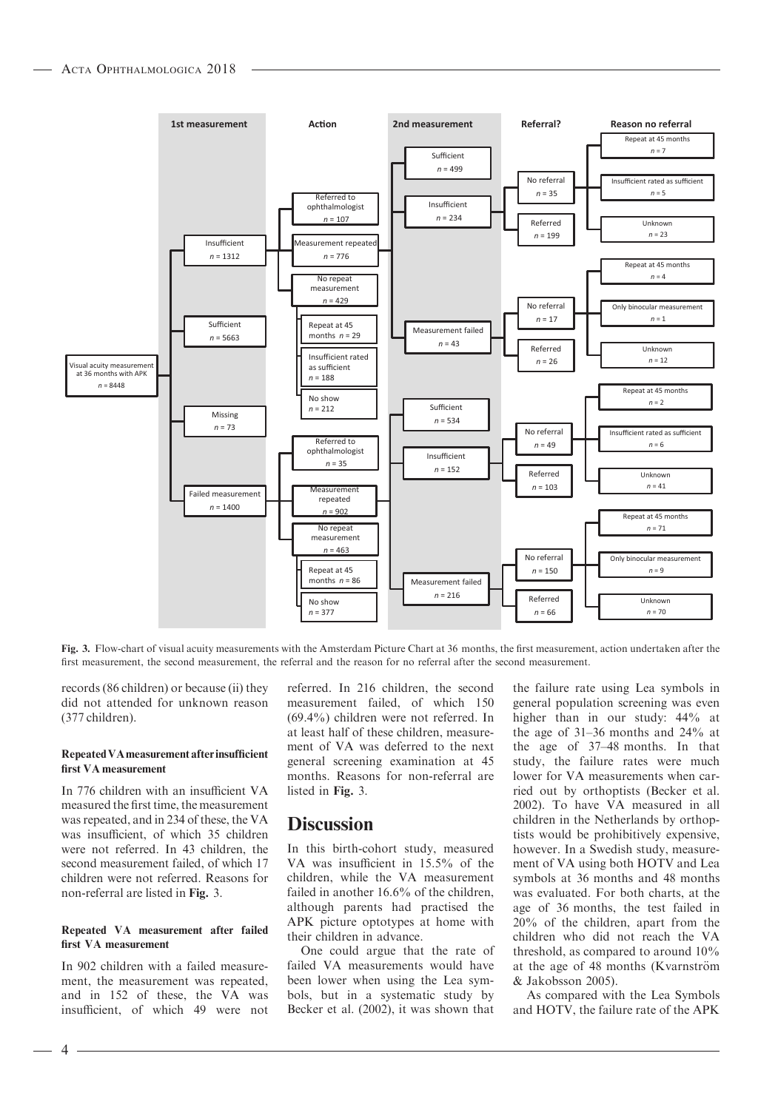

Fig. 3. Flow-chart of visual acuity measurements with the Amsterdam Picture Chart at 36 months, the first measurement, action undertaken after the first measurement, the second measurement, the referral and the reason for no referral after the second measurement.

records (86 children) or because (ii) they did not attended for unknown reason (377 children).

#### RepeatedVAmeasurement afterinsufficient first VA measurement

In 776 children with an insufficient VA measured the first time, the measurement was repeated, and in 234 of these, the VA was insufficient, of which 35 children were not referred. In 43 children, the second measurement failed, of which 17 children were not referred. Reasons for non-referral are listed in Fig. 3.

#### Repeated VA measurement after failed first VA measurement

In 902 children with a failed measurement, the measurement was repeated, and in 152 of these, the VA was insufficient, of which 49 were not referred. In 216 children, the second measurement failed, of which 150 (69.4%) children were not referred. In at least half of these children, measurement of VA was deferred to the next general screening examination at 45 months. Reasons for non-referral are listed in Fig. 3.

## **Discussion**

In this birth-cohort study, measured VA was insufficient in 15.5% of the children, while the VA measurement failed in another 16.6% of the children. although parents had practised the APK picture optotypes at home with their children in advance.

One could argue that the rate of failed VA measurements would have been lower when using the Lea symbols, but in a systematic study by Becker et al. (2002), it was shown that the failure rate using Lea symbols in general population screening was even higher than in our study: 44% at the age of 31–36 months and 24% at the age of 37–48 months. In that study, the failure rates were much lower for VA measurements when carried out by orthoptists (Becker et al. 2002). To have VA measured in all children in the Netherlands by orthoptists would be prohibitively expensive, however. In a Swedish study, measurement of VA using both HOTV and Lea symbols at 36 months and 48 months was evaluated. For both charts, at the age of 36 months, the test failed in 20% of the children, apart from the children who did not reach the VA threshold, as compared to around 10% at the age of 48 months (Kvarnström & Jakobsson 2005).

As compared with the Lea Symbols and HOTV, the failure rate of the APK